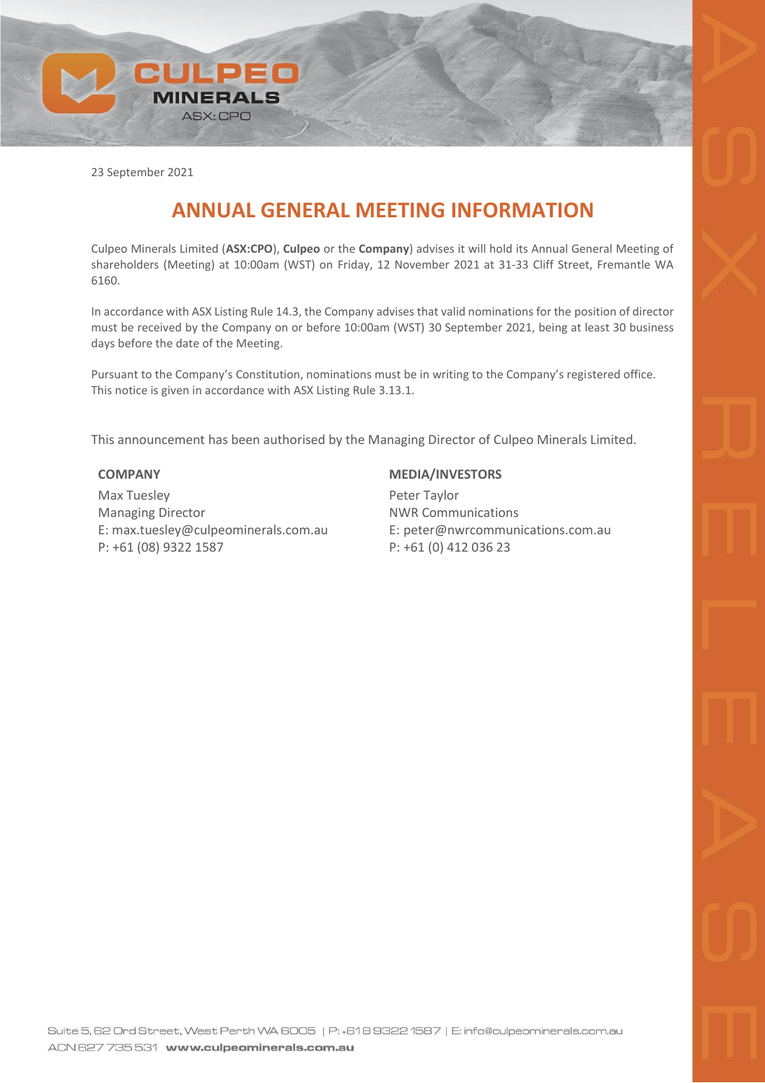

23 September 2021

## **ANNUAL GENERAL MEETING INFORMATION**

Culpeo Minerals Limited (**ASX:CPO**), **Culpeo** or the **Company**) advises it will hold its Annual General Meeting of shareholders (Meeting) at 10:00am (WST) on Friday, 12 November 2021 at 31-33 Cliff Street, Fremantle WA 6160.

In accordance with ASX Listing Rule 14.3, the Company advises that valid nominations for the position of director must be received by the Company on or before 10:00am (WST) 30 September 2021, being at least 30 business days before the date of the Meeting.

Pursuant to the Company's Constitution, nominations must be in writing to the Company's registered office. This notice is given in accordance with ASX Listing Rule 3.13.1.

This announcement has been authorised by the Managing Director of Culpeo Minerals Limited.

## **COMPANY**

Max Tuesley Managing Director E: max.tuesley@culpeominerals.com.au P: +61 (08) 9322 1587

## **MEDIA/INVESTORS**

Peter Taylor NWR Communications E: peter@nwrcommunications.com.au P: +61 (0) 412 036 23